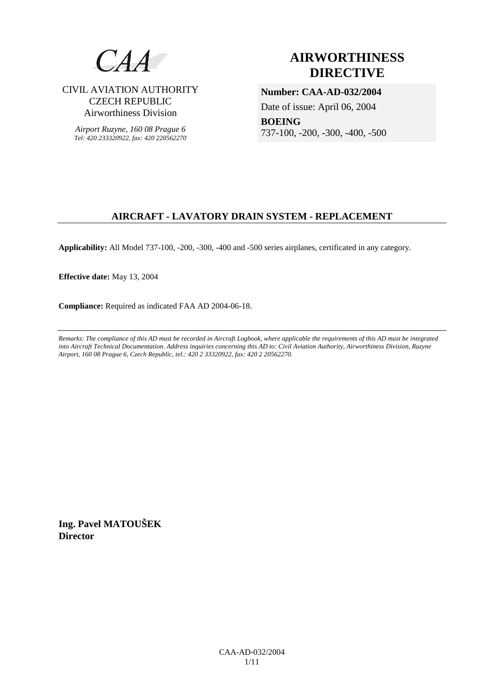

CIVIL AVIATION AUTHORITY CZECH REPUBLIC Airworthiness Division

*Airport Ruzyne, 160 08 Prague 6 Tel: 420 233320922, fax: 420 220562270*

# **AIRWORTHINESS DIRECTIVE**

**Number: CAA-AD-032/2004**  Date of issue: April 06, 2004

**BOEING**  737-100, -200, -300, -400, -500

## **AIRCRAFT - LAVATORY DRAIN SYSTEM - REPLACEMENT**

**Applicability:** All Model 737-100, -200, -300, -400 and -500 series airplanes, certificated in any category.

**Effective date:** May 13, 2004

**Compliance:** Required as indicated FAA AD 2004-06-18.

*Remarks: The compliance of this AD must be recorded in Aircraft Logbook, where applicable the requirements of this AD must be integrated into Aircraft Technical Documentation. Address inquiries concerning this AD to: Civil Aviation Authority, Airworthiness Division, Ruzyne Airport, 160 08 Prague 6, Czech Republic, tel.: 420 2 33320922, fax: 420 2 20562270.* 

**Ing. Pavel MATOUŠEK Director**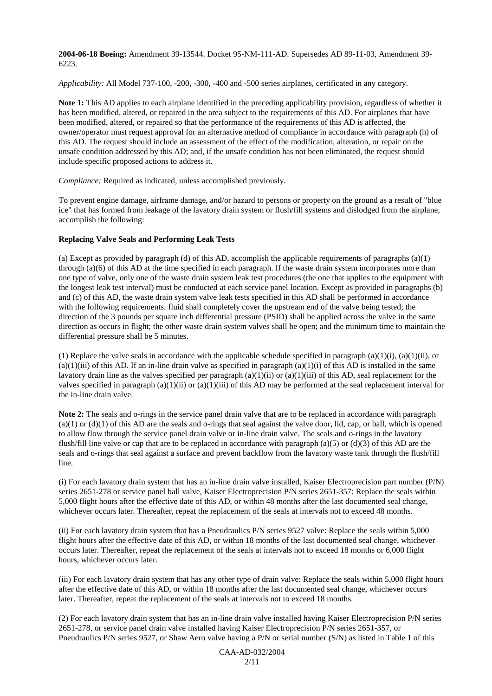**2004-06-18 Boeing:** Amendment 39-13544. Docket 95-NM-111-AD. Supersedes AD 89-11-03, Amendment 39- 6223.

*Applicability:* All Model 737-100, -200, -300, -400 and -500 series airplanes, certificated in any category.

**Note 1:** This AD applies to each airplane identified in the preceding applicability provision, regardless of whether it has been modified, altered, or repaired in the area subject to the requirements of this AD. For airplanes that have been modified, altered, or repaired so that the performance of the requirements of this AD is affected, the owner/operator must request approval for an alternative method of compliance in accordance with paragraph (h) of this AD. The request should include an assessment of the effect of the modification, alteration, or repair on the unsafe condition addressed by this AD; and, if the unsafe condition has not been eliminated, the request should include specific proposed actions to address it.

*Compliance:* Required as indicated, unless accomplished previously.

To prevent engine damage, airframe damage, and/or hazard to persons or property on the ground as a result of "blue ice" that has formed from leakage of the lavatory drain system or flush/fill systems and dislodged from the airplane, accomplish the following:

#### **Replacing Valve Seals and Performing Leak Tests**

(a) Except as provided by paragraph (d) of this AD, accomplish the applicable requirements of paragraphs  $(a)(1)$ through  $(a)(6)$  of this AD at the time specified in each paragraph. If the waste drain system incorporates more than one type of valve, only one of the waste drain system leak test procedures (the one that applies to the equipment with the longest leak test interval) must be conducted at each service panel location. Except as provided in paragraphs (b) and (c) of this AD, the waste drain system valve leak tests specified in this AD shall be performed in accordance with the following requirements: fluid shall completely cover the upstream end of the valve being tested; the direction of the 3 pounds per square inch differential pressure (PSID) shall be applied across the valve in the same direction as occurs in flight; the other waste drain system valves shall be open; and the minimum time to maintain the differential pressure shall be 5 minutes.

(1) Replace the valve seals in accordance with the applicable schedule specified in paragraph (a)(1)(i), (a)(1)(ii), or  $(a)(1)(iii)$  of this AD. If an in-line drain valve as specified in paragraph  $(a)(1)(i)$  of this AD is installed in the same lavatory drain line as the valves specified per paragraph (a)(1)(ii) or (a)(1)(iii) of this AD, seal replacement for the valves specified in paragraph (a)(1)(ii) or (a)(1)(iii) of this AD may be performed at the seal replacement interval for the in-line drain valve.

**Note 2:** The seals and o-rings in the service panel drain valve that are to be replaced in accordance with paragraph  $(a)(1)$  or  $(d)(1)$  of this AD are the seals and o-rings that seal against the valve door, lid, cap, or ball, which is opened to allow flow through the service panel drain valve or in-line drain valve. The seals and o-rings in the lavatory flush/fill line valve or cap that are to be replaced in accordance with paragraph (a)(5) or (d)(3) of this AD are the seals and o-rings that seal against a surface and prevent backflow from the lavatory waste tank through the flush/fill line.

(i) For each lavatory drain system that has an in-line drain valve installed, Kaiser Electroprecision part number (P/N) series 2651-278 or service panel ball valve, Kaiser Electroprecision P/N series 2651-357: Replace the seals within 5,000 flight hours after the effective date of this AD, or within 48 months after the last documented seal change, whichever occurs later. Thereafter, repeat the replacement of the seals at intervals not to exceed 48 months.

(ii) For each lavatory drain system that has a Pneudraulics P/N series 9527 valve: Replace the seals within 5,000 flight hours after the effective date of this AD, or within 18 months of the last documented seal change, whichever occurs later. Thereafter, repeat the replacement of the seals at intervals not to exceed 18 months or 6,000 flight hours, whichever occurs later.

(iii) For each lavatory drain system that has any other type of drain valve: Replace the seals within 5,000 flight hours after the effective date of this AD, or within 18 months after the last documented seal change, whichever occurs later. Thereafter, repeat the replacement of the seals at intervals not to exceed 18 months.

(2) For each lavatory drain system that has an in-line drain valve installed having Kaiser Electroprecision P/N series 2651-278, or service panel drain valve installed having Kaiser Electroprecision P/N series 2651-357, or Pneudraulics P/N series 9527, or Shaw Aero valve having a P/N or serial number (S/N) as listed in Table 1 of this

> CAA-AD-032/2004  $2/11$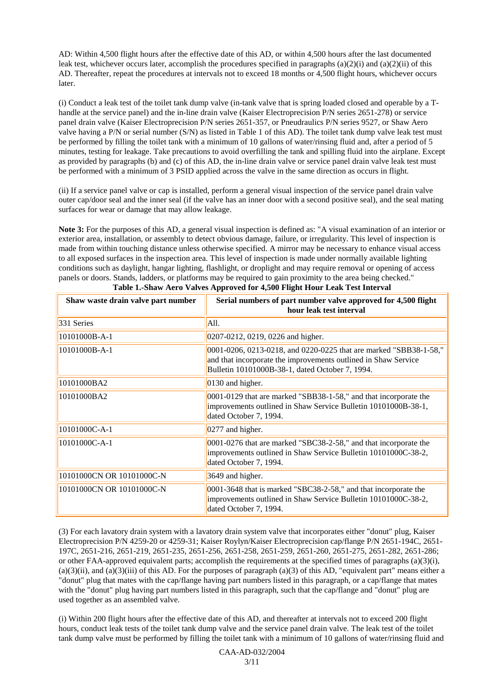AD: Within 4,500 flight hours after the effective date of this AD, or within 4,500 hours after the last documented leak test, whichever occurs later, accomplish the procedures specified in paragraphs  $(a)(2)(i)$  and  $(a)(2)(ii)$  of this AD. Thereafter, repeat the procedures at intervals not to exceed 18 months or 4,500 flight hours, whichever occurs later.

(i) Conduct a leak test of the toilet tank dump valve (in-tank valve that is spring loaded closed and operable by a Thandle at the service panel) and the in-line drain valve (Kaiser Electroprecision P/N series 2651-278) or service panel drain valve (Kaiser Electroprecision P/N series 2651-357, or Pneudraulics P/N series 9527, or Shaw Aero valve having a P/N or serial number (S/N) as listed in Table 1 of this AD). The toilet tank dump valve leak test must be performed by filling the toilet tank with a minimum of 10 gallons of water/rinsing fluid and, after a period of 5 minutes, testing for leakage. Take precautions to avoid overfilling the tank and spilling fluid into the airplane. Except as provided by paragraphs (b) and (c) of this AD, the in-line drain valve or service panel drain valve leak test must be performed with a minimum of 3 PSID applied across the valve in the same direction as occurs in flight.

(ii) If a service panel valve or cap is installed, perform a general visual inspection of the service panel drain valve outer cap/door seal and the inner seal (if the valve has an inner door with a second positive seal), and the seal mating surfaces for wear or damage that may allow leakage.

**Note 3:** For the purposes of this AD, a general visual inspection is defined as: "A visual examination of an interior or exterior area, installation, or assembly to detect obvious damage, failure, or irregularity. This level of inspection is made from within touching distance unless otherwise specified. A mirror may be necessary to enhance visual access to all exposed surfaces in the inspection area. This level of inspection is made under normally available lighting conditions such as daylight, hangar lighting, flashlight, or droplight and may require removal or opening of access panels or doors. Stands, ladders, or platforms may be required to gain proximity to the area being checked."

| Shaw waste drain valve part number | Serial numbers of part number valve approved for 4,500 flight<br>hour leak test interval                                                                                               |
|------------------------------------|----------------------------------------------------------------------------------------------------------------------------------------------------------------------------------------|
| 331 Series                         | A11.                                                                                                                                                                                   |
| 10101000B-A-1                      | 0207-0212, 0219, 0226 and higher.                                                                                                                                                      |
| 10101000B-A-1                      | 0001-0206, 0213-0218, and 0220-0225 that are marked "SBB38-1-58,"<br>and that incorporate the improvements outlined in Shaw Service<br>Bulletin 10101000B-38-1, dated October 7, 1994. |
| 10101000BA2                        | 0130 and higher.                                                                                                                                                                       |
| 10101000BA2                        | $[0001-0129]$ that are marked "SBB38-1-58," and that incorporate the<br>improvements outlined in Shaw Service Bulletin 10101000B-38-1,<br>dated October 7, 1994.                       |
| 10101000C-A-1                      | 0277 and higher.                                                                                                                                                                       |
| 10101000C-A-1                      | 0001-0276 that are marked "SBC38-2-58," and that incorporate the<br>improvements outlined in Shaw Service Bulletin 10101000C-38-2,<br>dated October 7, 1994.                           |
| 10101000CN OR 10101000C-N          | 3649 and higher.                                                                                                                                                                       |
| 10101000CN OR 10101000C-N          | $ 0001-3648$ that is marked "SBC38-2-58," and that incorporate the<br>improvements outlined in Shaw Service Bulletin 10101000C-38-2,<br>dated October 7, 1994.                         |

**Table 1.-Shaw Aero Valves Approved for 4,500 Flight Hour Leak Test Interval**

(3) For each lavatory drain system with a lavatory drain system valve that incorporates either "donut" plug, Kaiser Electroprecision P/N 4259-20 or 4259-31; Kaiser Roylyn/Kaiser Electroprecision cap/flange P/N 2651-194C, 2651- 197C, 2651-216, 2651-219, 2651-235, 2651-256, 2651-258, 2651-259, 2651-260, 2651-275, 2651-282, 2651-286; or other FAA-approved equivalent parts; accomplish the requirements at the specified times of paragraphs  $(a)(3)(i)$ ,  $(a)(3)(ii)$ , and  $(a)(3)(iii)$  of this AD. For the purposes of paragraph  $(a)(3)$  of this AD, "equivalent part" means either a "donut" plug that mates with the cap/flange having part numbers listed in this paragraph, or a cap/flange that mates with the "donut" plug having part numbers listed in this paragraph, such that the cap/flange and "donut" plug are used together as an assembled valve.

(i) Within 200 flight hours after the effective date of this AD, and thereafter at intervals not to exceed 200 flight hours, conduct leak tests of the toilet tank dump valve and the service panel drain valve. The leak test of the toilet tank dump valve must be performed by filling the toilet tank with a minimum of 10 gallons of water/rinsing fluid and

> CAA-AD-032/2004 3/11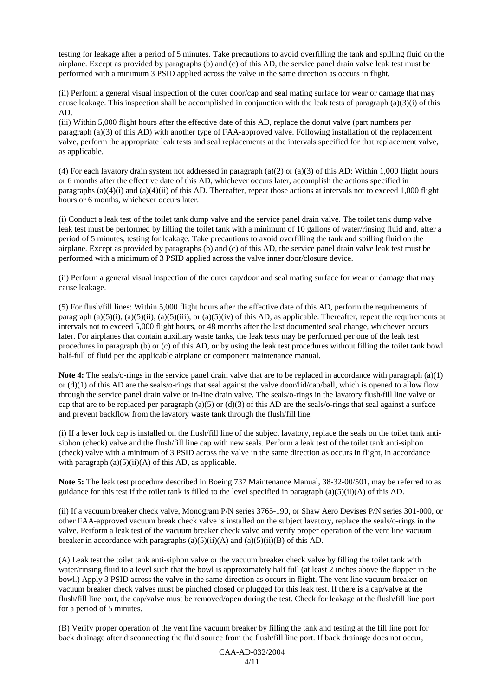testing for leakage after a period of 5 minutes. Take precautions to avoid overfilling the tank and spilling fluid on the airplane. Except as provided by paragraphs (b) and (c) of this AD, the service panel drain valve leak test must be performed with a minimum 3 PSID applied across the valve in the same direction as occurs in flight.

(ii) Perform a general visual inspection of the outer door/cap and seal mating surface for wear or damage that may cause leakage. This inspection shall be accomplished in conjunction with the leak tests of paragraph (a)(3)(i) of this AD.

(iii) Within 5,000 flight hours after the effective date of this AD, replace the donut valve (part numbers per paragraph (a)(3) of this AD) with another type of FAA-approved valve. Following installation of the replacement valve, perform the appropriate leak tests and seal replacements at the intervals specified for that replacement valve, as applicable.

(4) For each lavatory drain system not addressed in paragraph (a)(2) or (a)(3) of this AD: Within 1,000 flight hours or 6 months after the effective date of this AD, whichever occurs later, accomplish the actions specified in paragraphs  $(a)(4)(i)$  and  $(a)(4)(ii)$  of this AD. Thereafter, repeat those actions at intervals not to exceed 1,000 flight hours or 6 months, whichever occurs later.

(i) Conduct a leak test of the toilet tank dump valve and the service panel drain valve. The toilet tank dump valve leak test must be performed by filling the toilet tank with a minimum of 10 gallons of water/rinsing fluid and, after a period of 5 minutes, testing for leakage. Take precautions to avoid overfilling the tank and spilling fluid on the airplane. Except as provided by paragraphs (b) and (c) of this AD, the service panel drain valve leak test must be performed with a minimum of 3 PSID applied across the valve inner door/closure device.

(ii) Perform a general visual inspection of the outer cap/door and seal mating surface for wear or damage that may cause leakage.

(5) For flush/fill lines: Within 5,000 flight hours after the effective date of this AD, perform the requirements of paragraph (a)(5)(i), (a)(5)(ii), (a)(5)(iii), or (a)(5)(iv) of this AD, as applicable. Thereafter, repeat the requirements at intervals not to exceed 5,000 flight hours, or 48 months after the last documented seal change, whichever occurs later. For airplanes that contain auxiliary waste tanks, the leak tests may be performed per one of the leak test procedures in paragraph (b) or (c) of this AD, or by using the leak test procedures without filling the toilet tank bowl half-full of fluid per the applicable airplane or component maintenance manual.

**Note 4:** The seals/o-rings in the service panel drain valve that are to be replaced in accordance with paragraph (a)(1) or (d)(1) of this AD are the seals/o-rings that seal against the valve door/lid/cap/ball, which is opened to allow flow through the service panel drain valve or in-line drain valve. The seals/o-rings in the lavatory flush/fill line valve or cap that are to be replaced per paragraph (a)(5) or (d)(3) of this AD are the seals/o-rings that seal against a surface and prevent backflow from the lavatory waste tank through the flush/fill line.

(i) If a lever lock cap is installed on the flush/fill line of the subject lavatory, replace the seals on the toilet tank antisiphon (check) valve and the flush/fill line cap with new seals. Perform a leak test of the toilet tank anti-siphon (check) valve with a minimum of 3 PSID across the valve in the same direction as occurs in flight, in accordance with paragraph  $(a)(5)(ii)(A)$  of this AD, as applicable.

**Note 5:** The leak test procedure described in Boeing 737 Maintenance Manual, 38-32-00/501, may be referred to as guidance for this test if the toilet tank is filled to the level specified in paragraph (a)(5)(ii)(A) of this AD.

(ii) If a vacuum breaker check valve, Monogram P/N series 3765-190, or Shaw Aero Devises P/N series 301-000, or other FAA-approved vacuum break check valve is installed on the subject lavatory, replace the seals/o-rings in the valve. Perform a leak test of the vacuum breaker check valve and verify proper operation of the vent line vacuum breaker in accordance with paragraphs  $(a)(5)(ii)(A)$  and  $(a)(5)(ii)(B)$  of this AD.

(A) Leak test the toilet tank anti-siphon valve or the vacuum breaker check valve by filling the toilet tank with water/rinsing fluid to a level such that the bowl is approximately half full (at least 2 inches above the flapper in the bowl.) Apply 3 PSID across the valve in the same direction as occurs in flight. The vent line vacuum breaker on vacuum breaker check valves must be pinched closed or plugged for this leak test. If there is a cap/valve at the flush/fill line port, the cap/valve must be removed/open during the test. Check for leakage at the flush/fill line port for a period of 5 minutes.

(B) Verify proper operation of the vent line vacuum breaker by filling the tank and testing at the fill line port for back drainage after disconnecting the fluid source from the flush/fill line port. If back drainage does not occur,

> CAA-AD-032/2004 4/11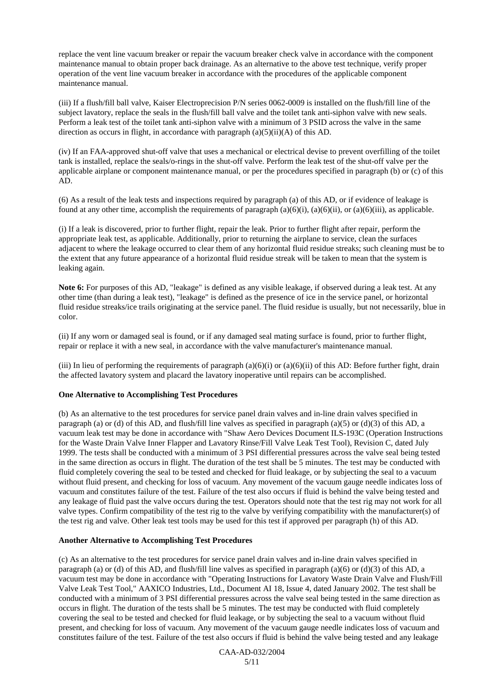replace the vent line vacuum breaker or repair the vacuum breaker check valve in accordance with the component maintenance manual to obtain proper back drainage. As an alternative to the above test technique, verify proper operation of the vent line vacuum breaker in accordance with the procedures of the applicable component maintenance manual.

(iii) If a flush/fill ball valve, Kaiser Electroprecision P/N series 0062-0009 is installed on the flush/fill line of the subject lavatory, replace the seals in the flush/fill ball valve and the toilet tank anti-siphon valve with new seals. Perform a leak test of the toilet tank anti-siphon valve with a minimum of 3 PSID across the valve in the same direction as occurs in flight, in accordance with paragraph (a)(5)(ii)(A) of this AD.

(iv) If an FAA-approved shut-off valve that uses a mechanical or electrical devise to prevent overfilling of the toilet tank is installed, replace the seals/o-rings in the shut-off valve. Perform the leak test of the shut-off valve per the applicable airplane or component maintenance manual, or per the procedures specified in paragraph (b) or (c) of this AD.

(6) As a result of the leak tests and inspections required by paragraph (a) of this AD, or if evidence of leakage is found at any other time, accomplish the requirements of paragraph  $(a)(6)(i)$ ,  $(a)(6)(ii)$ , or  $(a)(6)(iii)$ , as applicable.

(i) If a leak is discovered, prior to further flight, repair the leak. Prior to further flight after repair, perform the appropriate leak test, as applicable. Additionally, prior to returning the airplane to service, clean the surfaces adjacent to where the leakage occurred to clear them of any horizontal fluid residue streaks; such cleaning must be to the extent that any future appearance of a horizontal fluid residue streak will be taken to mean that the system is leaking again.

**Note 6:** For purposes of this AD, "leakage" is defined as any visible leakage, if observed during a leak test. At any other time (than during a leak test), "leakage" is defined as the presence of ice in the service panel, or horizontal fluid residue streaks/ice trails originating at the service panel. The fluid residue is usually, but not necessarily, blue in color.

(ii) If any worn or damaged seal is found, or if any damaged seal mating surface is found, prior to further flight, repair or replace it with a new seal, in accordance with the valve manufacturer's maintenance manual.

(iii) In lieu of performing the requirements of paragraph (a)(6)(i) or (a)(6)(ii) of this AD: Before further fight, drain the affected lavatory system and placard the lavatory inoperative until repairs can be accomplished.

#### **One Alternative to Accomplishing Test Procedures**

(b) As an alternative to the test procedures for service panel drain valves and in-line drain valves specified in paragraph (a) or (d) of this AD, and flush/fill line valves as specified in paragraph (a)(5) or (d)(3) of this AD, a vacuum leak test may be done in accordance with "Shaw Aero Devices Document ILS-193C (Operation Instructions for the Waste Drain Valve Inner Flapper and Lavatory Rinse/Fill Valve Leak Test Tool), Revision C, dated July 1999. The tests shall be conducted with a minimum of 3 PSI differential pressures across the valve seal being tested in the same direction as occurs in flight. The duration of the test shall be 5 minutes. The test may be conducted with fluid completely covering the seal to be tested and checked for fluid leakage, or by subjecting the seal to a vacuum without fluid present, and checking for loss of vacuum. Any movement of the vacuum gauge needle indicates loss of vacuum and constitutes failure of the test. Failure of the test also occurs if fluid is behind the valve being tested and any leakage of fluid past the valve occurs during the test. Operators should note that the test rig may not work for all valve types. Confirm compatibility of the test rig to the valve by verifying compatibility with the manufacturer(s) of the test rig and valve. Other leak test tools may be used for this test if approved per paragraph (h) of this AD.

#### **Another Alternative to Accomplishing Test Procedures**

(c) As an alternative to the test procedures for service panel drain valves and in-line drain valves specified in paragraph (a) or (d) of this AD, and flush/fill line valves as specified in paragraph (a)(6) or (d)(3) of this AD, a vacuum test may be done in accordance with "Operating Instructions for Lavatory Waste Drain Valve and Flush/Fill Valve Leak Test Tool," AAXICO Industries, Ltd., Document AI 18, Issue 4, dated January 2002. The test shall be conducted with a minimum of 3 PSI differential pressures across the valve seal being tested in the same direction as occurs in flight. The duration of the tests shall be 5 minutes. The test may be conducted with fluid completely covering the seal to be tested and checked for fluid leakage, or by subjecting the seal to a vacuum without fluid present, and checking for loss of vacuum. Any movement of the vacuum gauge needle indicates loss of vacuum and constitutes failure of the test. Failure of the test also occurs if fluid is behind the valve being tested and any leakage

> CAA-AD-032/2004 5/11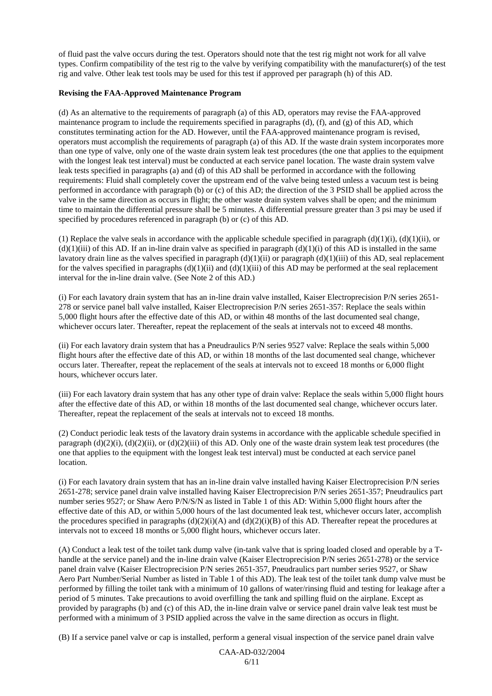of fluid past the valve occurs during the test. Operators should note that the test rig might not work for all valve types. Confirm compatibility of the test rig to the valve by verifying compatibility with the manufacturer(s) of the test rig and valve. Other leak test tools may be used for this test if approved per paragraph (h) of this AD.

#### **Revising the FAA-Approved Maintenance Program**

(d) As an alternative to the requirements of paragraph (a) of this AD, operators may revise the FAA-approved maintenance program to include the requirements specified in paragraphs  $(d)$ ,  $(f)$ , and  $(g)$  of this AD, which constitutes terminating action for the AD. However, until the FAA-approved maintenance program is revised, operators must accomplish the requirements of paragraph (a) of this AD. If the waste drain system incorporates more than one type of valve, only one of the waste drain system leak test procedures (the one that applies to the equipment with the longest leak test interval) must be conducted at each service panel location. The waste drain system valve leak tests specified in paragraphs (a) and (d) of this AD shall be performed in accordance with the following requirements: Fluid shall completely cover the upstream end of the valve being tested unless a vacuum test is being performed in accordance with paragraph (b) or (c) of this AD; the direction of the 3 PSID shall be applied across the valve in the same direction as occurs in flight; the other waste drain system valves shall be open; and the minimum time to maintain the differential pressure shall be 5 minutes. A differential pressure greater than 3 psi may be used if specified by procedures referenced in paragraph (b) or (c) of this AD.

(1) Replace the valve seals in accordance with the applicable schedule specified in paragraph  $(d)(1)(i)$ ,  $(d)(1)(ii)$ , or  $(d)(1)(iii)$  of this AD. If an in-line drain valve as specified in paragraph  $(d)(1)(i)$  of this AD is installed in the same lavatory drain line as the valves specified in paragraph  $(d)(1)(ii)$  or paragraph  $(d)(1)(iii)$  of this AD, seal replacement for the valves specified in paragraphs  $(d)(1)(ii)$  and  $(d)(1)(iii)$  of this AD may be performed at the seal replacement interval for the in-line drain valve. (See Note 2 of this AD.)

(i) For each lavatory drain system that has an in-line drain valve installed, Kaiser Electroprecision P/N series 2651- 278 or service panel ball valve installed, Kaiser Electroprecision P/N series 2651-357: Replace the seals within 5,000 flight hours after the effective date of this AD, or within 48 months of the last documented seal change, whichever occurs later. Thereafter, repeat the replacement of the seals at intervals not to exceed 48 months.

(ii) For each lavatory drain system that has a Pneudraulics P/N series 9527 valve: Replace the seals within 5,000 flight hours after the effective date of this AD, or within 18 months of the last documented seal change, whichever occurs later. Thereafter, repeat the replacement of the seals at intervals not to exceed 18 months or 6,000 flight hours, whichever occurs later.

(iii) For each lavatory drain system that has any other type of drain valve: Replace the seals within 5,000 flight hours after the effective date of this AD, or within 18 months of the last documented seal change, whichever occurs later. Thereafter, repeat the replacement of the seals at intervals not to exceed 18 months.

(2) Conduct periodic leak tests of the lavatory drain systems in accordance with the applicable schedule specified in paragraph  $(d)(2)(i)$ ,  $(d)(2)(ii)$ , or  $(d)(2)(iii)$  of this AD. Only one of the waste drain system leak test procedures (the one that applies to the equipment with the longest leak test interval) must be conducted at each service panel location.

(i) For each lavatory drain system that has an in-line drain valve installed having Kaiser Electroprecision P/N series 2651-278; service panel drain valve installed having Kaiser Electroprecision P/N series 2651-357; Pneudraulics part number series 9527; or Shaw Aero P/N/S/N as listed in Table 1 of this AD: Within 5,000 flight hours after the effective date of this AD, or within 5,000 hours of the last documented leak test, whichever occurs later, accomplish the procedures specified in paragraphs  $(d)(2)(i)(A)$  and  $(d)(2)(i)(B)$  of this AD. Thereafter repeat the procedures at intervals not to exceed 18 months or 5,000 flight hours, whichever occurs later.

(A) Conduct a leak test of the toilet tank dump valve (in-tank valve that is spring loaded closed and operable by a Thandle at the service panel) and the in-line drain valve (Kaiser Electroprecision P/N series 2651-278) or the service panel drain valve (Kaiser Electroprecision P/N series 2651-357, Pneudraulics part number series 9527, or Shaw Aero Part Number/Serial Number as listed in Table 1 of this AD). The leak test of the toilet tank dump valve must be performed by filling the toilet tank with a minimum of 10 gallons of water/rinsing fluid and testing for leakage after a period of 5 minutes. Take precautions to avoid overfilling the tank and spilling fluid on the airplane. Except as provided by paragraphs (b) and (c) of this AD, the in-line drain valve or service panel drain valve leak test must be performed with a minimum of 3 PSID applied across the valve in the same direction as occurs in flight.

(B) If a service panel valve or cap is installed, perform a general visual inspection of the service panel drain valve

CAA-AD-032/2004 6/11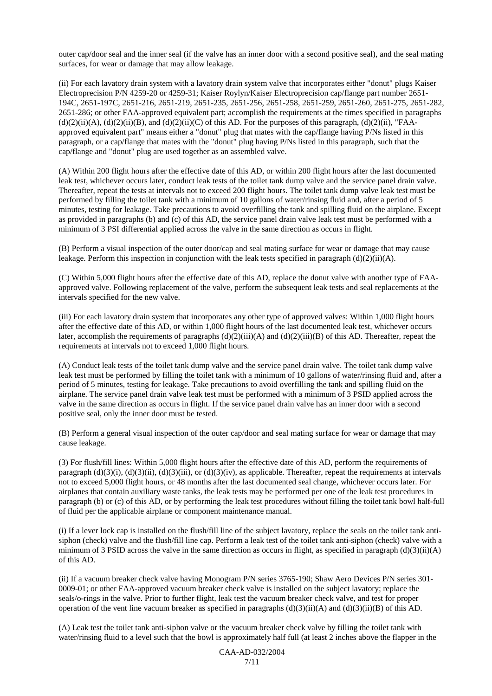outer cap/door seal and the inner seal (if the valve has an inner door with a second positive seal), and the seal mating surfaces, for wear or damage that may allow leakage.

(ii) For each lavatory drain system with a lavatory drain system valve that incorporates either "donut" plugs Kaiser Electroprecision P/N 4259-20 or 4259-31; Kaiser Roylyn/Kaiser Electroprecision cap/flange part number 2651- 194C, 2651-197C, 2651-216, 2651-219, 2651-235, 2651-256, 2651-258, 2651-259, 2651-260, 2651-275, 2651-282, 2651-286; or other FAA-approved equivalent part; accomplish the requirements at the times specified in paragraphs  $(d)(2)(ii)(A)$ ,  $(d)(2)(ii)(B)$ , and  $(d)(2)(ii)(C)$  of this AD. For the purposes of this paragraph,  $(d)(2)(ii)$ , "FAAapproved equivalent part" means either a "donut" plug that mates with the cap/flange having P/Ns listed in this paragraph, or a cap/flange that mates with the "donut" plug having P/Ns listed in this paragraph, such that the cap/flange and "donut" plug are used together as an assembled valve.

(A) Within 200 flight hours after the effective date of this AD, or within 200 flight hours after the last documented leak test, whichever occurs later, conduct leak tests of the toilet tank dump valve and the service panel drain valve. Thereafter, repeat the tests at intervals not to exceed 200 flight hours. The toilet tank dump valve leak test must be performed by filling the toilet tank with a minimum of 10 gallons of water/rinsing fluid and, after a period of 5 minutes, testing for leakage. Take precautions to avoid overfilling the tank and spilling fluid on the airplane. Except as provided in paragraphs (b) and (c) of this AD, the service panel drain valve leak test must be performed with a minimum of 3 PSI differential applied across the valve in the same direction as occurs in flight.

(B) Perform a visual inspection of the outer door/cap and seal mating surface for wear or damage that may cause leakage. Perform this inspection in conjunction with the leak tests specified in paragraph  $(d)(2)(ii)(A)$ .

(C) Within 5,000 flight hours after the effective date of this AD, replace the donut valve with another type of FAAapproved valve. Following replacement of the valve, perform the subsequent leak tests and seal replacements at the intervals specified for the new valve.

(iii) For each lavatory drain system that incorporates any other type of approved valves: Within 1,000 flight hours after the effective date of this AD, or within 1,000 flight hours of the last documented leak test, whichever occurs later, accomplish the requirements of paragraphs  $(d)(2)(iii)(A)$  and  $(d)(2)(iii)(B)$  of this AD. Thereafter, repeat the requirements at intervals not to exceed 1,000 flight hours.

(A) Conduct leak tests of the toilet tank dump valve and the service panel drain valve. The toilet tank dump valve leak test must be performed by filling the toilet tank with a minimum of 10 gallons of water/rinsing fluid and, after a period of 5 minutes, testing for leakage. Take precautions to avoid overfilling the tank and spilling fluid on the airplane. The service panel drain valve leak test must be performed with a minimum of 3 PSID applied across the valve in the same direction as occurs in flight. If the service panel drain valve has an inner door with a second positive seal, only the inner door must be tested.

(B) Perform a general visual inspection of the outer cap/door and seal mating surface for wear or damage that may cause leakage.

(3) For flush/fill lines: Within 5,000 flight hours after the effective date of this AD, perform the requirements of paragraph  $(d)(3)(i)$ ,  $(d)(3)(ii)$ ,  $(d)(3)(iii)$ , or  $(d)(3)(iv)$ , as applicable. Thereafter, repeat the requirements at intervals not to exceed 5,000 flight hours, or 48 months after the last documented seal change, whichever occurs later. For airplanes that contain auxiliary waste tanks, the leak tests may be performed per one of the leak test procedures in paragraph (b) or (c) of this AD, or by performing the leak test procedures without filling the toilet tank bowl half-full of fluid per the applicable airplane or component maintenance manual.

(i) If a lever lock cap is installed on the flush/fill line of the subject lavatory, replace the seals on the toilet tank antisiphon (check) valve and the flush/fill line cap. Perform a leak test of the toilet tank anti-siphon (check) valve with a minimum of 3 PSID across the valve in the same direction as occurs in flight, as specified in paragraph  $(d)(3)(ii)(A)$ of this AD.

(ii) If a vacuum breaker check valve having Monogram P/N series 3765-190; Shaw Aero Devices P/N series 301- 0009-01; or other FAA-approved vacuum breaker check valve is installed on the subject lavatory; replace the seals/o-rings in the valve. Prior to further flight, leak test the vacuum breaker check valve, and test for proper operation of the vent line vacuum breaker as specified in paragraphs  $(d)(3)(ii)(A)$  and  $(d)(3)(ii)(B)$  of this AD.

(A) Leak test the toilet tank anti-siphon valve or the vacuum breaker check valve by filling the toilet tank with water/rinsing fluid to a level such that the bowl is approximately half full (at least 2 inches above the flapper in the

> CAA-AD-032/2004 7/11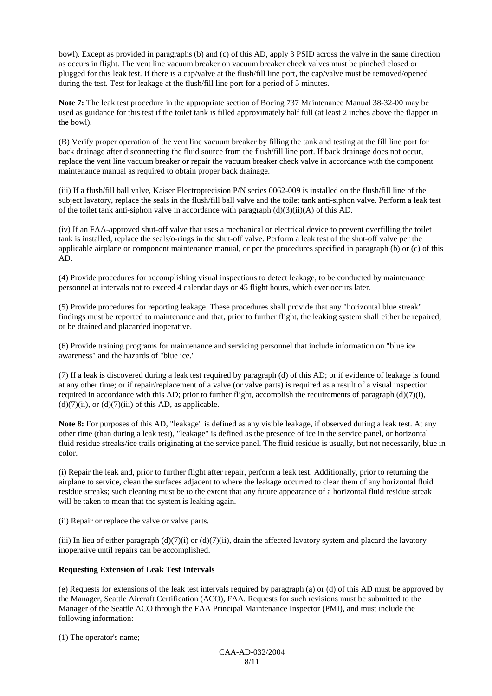bowl). Except as provided in paragraphs (b) and (c) of this AD, apply 3 PSID across the valve in the same direction as occurs in flight. The vent line vacuum breaker on vacuum breaker check valves must be pinched closed or plugged for this leak test. If there is a cap/valve at the flush/fill line port, the cap/valve must be removed/opened during the test. Test for leakage at the flush/fill line port for a period of 5 minutes.

**Note 7:** The leak test procedure in the appropriate section of Boeing 737 Maintenance Manual 38-32-00 may be used as guidance for this test if the toilet tank is filled approximately half full (at least 2 inches above the flapper in the bowl).

(B) Verify proper operation of the vent line vacuum breaker by filling the tank and testing at the fill line port for back drainage after disconnecting the fluid source from the flush/fill line port. If back drainage does not occur, replace the vent line vacuum breaker or repair the vacuum breaker check valve in accordance with the component maintenance manual as required to obtain proper back drainage.

(iii) If a flush/fill ball valve, Kaiser Electroprecision P/N series 0062-009 is installed on the flush/fill line of the subject lavatory, replace the seals in the flush/fill ball valve and the toilet tank anti-siphon valve. Perform a leak test of the toilet tank anti-siphon valve in accordance with paragraph  $(d)(3)(ii)(A)$  of this AD.

(iv) If an FAA-approved shut-off valve that uses a mechanical or electrical device to prevent overfilling the toilet tank is installed, replace the seals/o-rings in the shut-off valve. Perform a leak test of the shut-off valve per the applicable airplane or component maintenance manual, or per the procedures specified in paragraph (b) or (c) of this AD.

(4) Provide procedures for accomplishing visual inspections to detect leakage, to be conducted by maintenance personnel at intervals not to exceed 4 calendar days or 45 flight hours, which ever occurs later.

(5) Provide procedures for reporting leakage. These procedures shall provide that any "horizontal blue streak" findings must be reported to maintenance and that, prior to further flight, the leaking system shall either be repaired, or be drained and placarded inoperative.

(6) Provide training programs for maintenance and servicing personnel that include information on "blue ice awareness" and the hazards of "blue ice."

(7) If a leak is discovered during a leak test required by paragraph (d) of this AD; or if evidence of leakage is found at any other time; or if repair/replacement of a valve (or valve parts) is required as a result of a visual inspection required in accordance with this AD; prior to further flight, accomplish the requirements of paragraph  $(d)(7)(i)$ ,  $(d)(7)(ii)$ , or  $(d)(7)(iii)$  of this AD, as applicable.

**Note 8:** For purposes of this AD, "leakage" is defined as any visible leakage, if observed during a leak test. At any other time (than during a leak test), "leakage" is defined as the presence of ice in the service panel, or horizontal fluid residue streaks/ice trails originating at the service panel. The fluid residue is usually, but not necessarily, blue in color.

(i) Repair the leak and, prior to further flight after repair, perform a leak test. Additionally, prior to returning the airplane to service, clean the surfaces adjacent to where the leakage occurred to clear them of any horizontal fluid residue streaks; such cleaning must be to the extent that any future appearance of a horizontal fluid residue streak will be taken to mean that the system is leaking again.

(ii) Repair or replace the valve or valve parts.

(iii) In lieu of either paragraph (d)(7)(i) or (d)(7)(ii), drain the affected lavatory system and placard the lavatory inoperative until repairs can be accomplished.

#### **Requesting Extension of Leak Test Intervals**

(e) Requests for extensions of the leak test intervals required by paragraph (a) or (d) of this AD must be approved by the Manager, Seattle Aircraft Certification (ACO), FAA. Requests for such revisions must be submitted to the Manager of the Seattle ACO through the FAA Principal Maintenance Inspector (PMI), and must include the following information:

(1) The operator's name;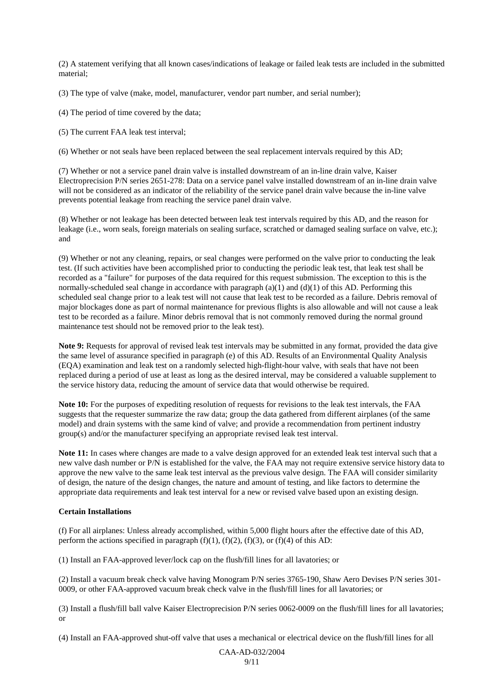(2) A statement verifying that all known cases/indications of leakage or failed leak tests are included in the submitted material;

(3) The type of valve (make, model, manufacturer, vendor part number, and serial number);

(4) The period of time covered by the data;

(5) The current FAA leak test interval;

(6) Whether or not seals have been replaced between the seal replacement intervals required by this AD;

(7) Whether or not a service panel drain valve is installed downstream of an in-line drain valve, Kaiser Electroprecision P/N series 2651-278: Data on a service panel valve installed downstream of an in-line drain valve will not be considered as an indicator of the reliability of the service panel drain valve because the in-line valve prevents potential leakage from reaching the service panel drain valve.

(8) Whether or not leakage has been detected between leak test intervals required by this AD, and the reason for leakage (i.e., worn seals, foreign materials on sealing surface, scratched or damaged sealing surface on valve, etc.); and

(9) Whether or not any cleaning, repairs, or seal changes were performed on the valve prior to conducting the leak test. (If such activities have been accomplished prior to conducting the periodic leak test, that leak test shall be recorded as a "failure" for purposes of the data required for this request submission. The exception to this is the normally-scheduled seal change in accordance with paragraph (a)(1) and (d)(1) of this AD. Performing this scheduled seal change prior to a leak test will not cause that leak test to be recorded as a failure. Debris removal of major blockages done as part of normal maintenance for previous flights is also allowable and will not cause a leak test to be recorded as a failure. Minor debris removal that is not commonly removed during the normal ground maintenance test should not be removed prior to the leak test).

**Note 9:** Requests for approval of revised leak test intervals may be submitted in any format, provided the data give the same level of assurance specified in paragraph (e) of this AD. Results of an Environmental Quality Analysis (EQA) examination and leak test on a randomly selected high-flight-hour valve, with seals that have not been replaced during a period of use at least as long as the desired interval, may be considered a valuable supplement to the service history data, reducing the amount of service data that would otherwise be required.

**Note 10:** For the purposes of expediting resolution of requests for revisions to the leak test intervals, the FAA suggests that the requester summarize the raw data; group the data gathered from different airplanes (of the same model) and drain systems with the same kind of valve; and provide a recommendation from pertinent industry group(s) and/or the manufacturer specifying an appropriate revised leak test interval.

**Note 11:** In cases where changes are made to a valve design approved for an extended leak test interval such that a new valve dash number or P/N is established for the valve, the FAA may not require extensive service history data to approve the new valve to the same leak test interval as the previous valve design. The FAA will consider similarity of design, the nature of the design changes, the nature and amount of testing, and like factors to determine the appropriate data requirements and leak test interval for a new or revised valve based upon an existing design.

#### **Certain Installations**

(f) For all airplanes: Unless already accomplished, within 5,000 flight hours after the effective date of this AD, perform the actions specified in paragraph  $(f)(1)$ ,  $(f)(2)$ ,  $(f)(3)$ , or  $(f)(4)$  of this AD:

(1) Install an FAA-approved lever/lock cap on the flush/fill lines for all lavatories; or

(2) Install a vacuum break check valve having Monogram P/N series 3765-190, Shaw Aero Devises P/N series 301- 0009, or other FAA-approved vacuum break check valve in the flush/fill lines for all lavatories; or

(3) Install a flush/fill ball valve Kaiser Electroprecision P/N series 0062-0009 on the flush/fill lines for all lavatories; or

(4) Install an FAA-approved shut-off valve that uses a mechanical or electrical device on the flush/fill lines for all

CAA-AD-032/2004  $Q/11$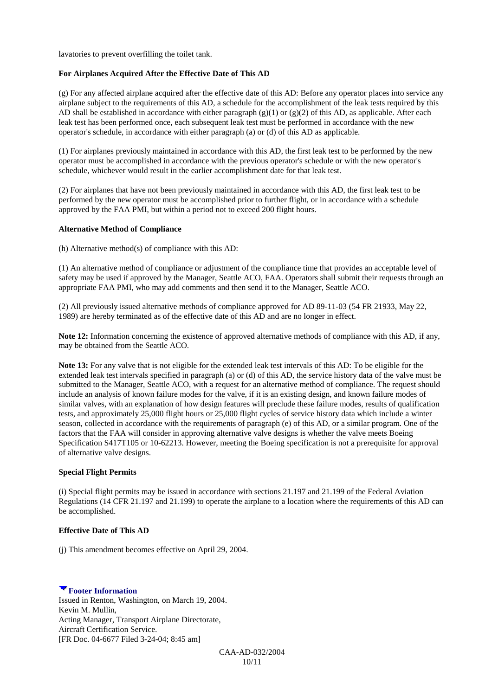lavatories to prevent overfilling the toilet tank.

#### **For Airplanes Acquired After the Effective Date of This AD**

(g) For any affected airplane acquired after the effective date of this AD: Before any operator places into service any airplane subject to the requirements of this AD, a schedule for the accomplishment of the leak tests required by this AD shall be established in accordance with either paragraph  $(g)(1)$  or  $(g)(2)$  of this AD, as applicable. After each leak test has been performed once, each subsequent leak test must be performed in accordance with the new operator's schedule, in accordance with either paragraph (a) or (d) of this AD as applicable.

(1) For airplanes previously maintained in accordance with this AD, the first leak test to be performed by the new operator must be accomplished in accordance with the previous operator's schedule or with the new operator's schedule, whichever would result in the earlier accomplishment date for that leak test.

(2) For airplanes that have not been previously maintained in accordance with this AD, the first leak test to be performed by the new operator must be accomplished prior to further flight, or in accordance with a schedule approved by the FAA PMI, but within a period not to exceed 200 flight hours.

#### **Alternative Method of Compliance**

(h) Alternative method(s) of compliance with this AD:

(1) An alternative method of compliance or adjustment of the compliance time that provides an acceptable level of safety may be used if approved by the Manager, Seattle ACO, FAA. Operators shall submit their requests through an appropriate FAA PMI, who may add comments and then send it to the Manager, Seattle ACO.

(2) All previously issued alternative methods of compliance approved for AD 89-11-03 (54 FR 21933, May 22, 1989) are hereby terminated as of the effective date of this AD and are no longer in effect.

**Note 12:** Information concerning the existence of approved alternative methods of compliance with this AD, if any, may be obtained from the Seattle ACO.

**Note 13:** For any valve that is not eligible for the extended leak test intervals of this AD: To be eligible for the extended leak test intervals specified in paragraph (a) or (d) of this AD, the service history data of the valve must be submitted to the Manager, Seattle ACO, with a request for an alternative method of compliance. The request should include an analysis of known failure modes for the valve, if it is an existing design, and known failure modes of similar valves, with an explanation of how design features will preclude these failure modes, results of qualification tests, and approximately 25,000 flight hours or 25,000 flight cycles of service history data which include a winter season, collected in accordance with the requirements of paragraph (e) of this AD, or a similar program. One of the factors that the FAA will consider in approving alternative valve designs is whether the valve meets Boeing Specification S417T105 or 10-62213. However, meeting the Boeing specification is not a prerequisite for approval of alternative valve designs.

#### **Special Flight Permits**

(i) Special flight permits may be issued in accordance with sections 21.197 and 21.199 of the Federal Aviation Regulations (14 CFR 21.197 and 21.199) to operate the airplane to a location where the requirements of this AD can be accomplished.

#### **Effective Date of This AD**

(j) This amendment becomes effective on April 29, 2004.

#### **Footer Information**

Issued in Renton, Washington, on March 19, 2004. Kevin M. Mullin, Acting Manager, Transport Airplane Directorate, Aircraft Certification Service. [FR Doc. 04-6677 Filed 3-24-04; 8:45 am]